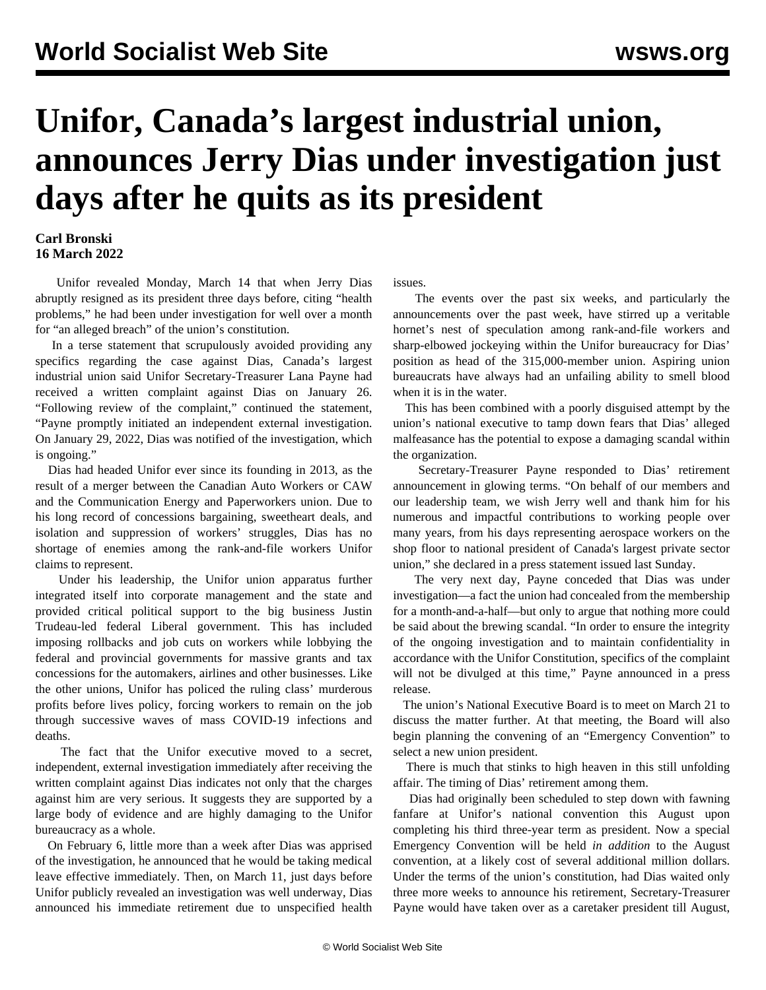## **Unifor, Canada's largest industrial union, announces Jerry Dias under investigation just days after he quits as its president**

## **Carl Bronski 16 March 2022**

 Unifor revealed Monday, March 14 that when Jerry Dias abruptly resigned as its president three days before, citing "health problems," he had been under investigation for well over a month for "an alleged breach" of the union's constitution.

 In a terse statement that scrupulously avoided providing any specifics regarding the case against Dias, Canada's largest industrial union said Unifor Secretary-Treasurer Lana Payne had received a written complaint against Dias on January 26. "Following review of the complaint," continued the statement, "Payne promptly initiated an independent external investigation. On January 29, 2022, Dias was notified of the investigation, which is ongoing."

 Dias had headed Unifor ever since its founding in 2013, as the result of a merger between the Canadian Auto Workers or CAW and the Communication Energy and Paperworkers union. Due to his long record of concessions bargaining, sweetheart deals, and isolation and suppression of workers' struggles, Dias has no shortage of enemies among the rank-and-file workers Unifor claims to represent.

 Under his leadership, the Unifor union apparatus further integrated itself into corporate management and the state and provided critical political support to the big business Justin Trudeau-led federal Liberal government. This has included imposing rollbacks and job cuts on workers while lobbying the federal and provincial governments for massive grants and tax concessions for the automakers, airlines and other businesses. Like the other unions, Unifor has policed the ruling class' murderous profits before lives policy, forcing workers to remain on the job through successive waves of mass COVID-19 infections and deaths.

 The fact that the Unifor executive moved to a secret, independent, external investigation immediately after receiving the written complaint against Dias indicates not only that the charges against him are very serious. It suggests they are supported by a large body of evidence and are highly damaging to the Unifor bureaucracy as a whole.

 On February 6, little more than a week after Dias was apprised of the investigation, he announced that he would be taking medical leave effective immediately. Then, on March 11, just days before Unifor publicly revealed an investigation was well underway, Dias announced his immediate retirement due to unspecified health

issues.

 The events over the past six weeks, and particularly the announcements over the past week, have stirred up a veritable hornet's nest of speculation among rank-and-file workers and sharp-elbowed jockeying within the Unifor bureaucracy for Dias' position as head of the 315,000-member union. Aspiring union bureaucrats have always had an unfailing ability to smell blood when it is in the water.

 This has been combined with a poorly disguised attempt by the union's national executive to tamp down fears that Dias' alleged malfeasance has the potential to expose a damaging scandal within the organization.

 Secretary-Treasurer Payne responded to Dias' retirement announcement in glowing terms. "On behalf of our members and our leadership team, we wish Jerry well and thank him for his numerous and impactful contributions to working people over many years, from his days representing aerospace workers on the shop floor to national president of Canada's largest private sector union," she declared in a press statement issued last Sunday.

 The very next day, Payne conceded that Dias was under investigation—a fact the union had concealed from the membership for a month-and-a-half—but only to argue that nothing more could be said about the brewing scandal. "In order to ensure the integrity of the ongoing investigation and to maintain confidentiality in accordance with the Unifor Constitution, specifics of the complaint will not be divulged at this time," Payne announced in a press release.

 The union's National Executive Board is to meet on March 21 to discuss the matter further. At that meeting, the Board will also begin planning the convening of an "Emergency Convention" to select a new union president.

 There is much that stinks to high heaven in this still unfolding affair. The timing of Dias' retirement among them.

 Dias had originally been scheduled to step down with fawning fanfare at Unifor's national convention this August upon completing his third three-year term as president. Now a special Emergency Convention will be held *in addition* to the August convention, at a likely cost of several additional million dollars. Under the terms of the union's constitution, had Dias waited only three more weeks to announce his retirement, Secretary-Treasurer Payne would have taken over as a caretaker president till August,